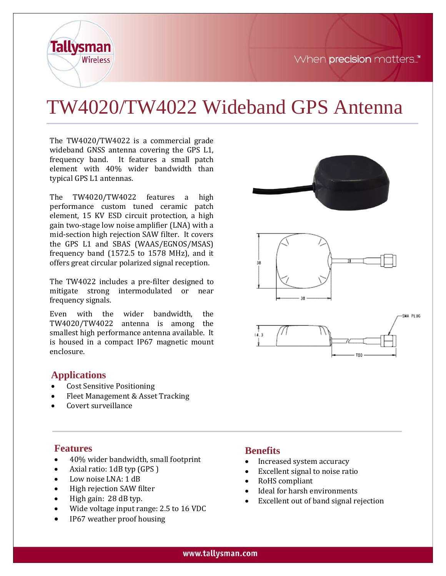

# TW4020/TW4022 Wideband GPS Antenna

The TW4020/TW4022 is a commercial grade wideband GNSS antenna covering the GPS L1, frequency band. It features a small patch element with 40% wider bandwidth than typical GPS L1 antennas.

The TW4020/TW4022 features a high performance custom tuned ceramic patch element, 15 KV ESD circuit protection, a high gain two-stage low noise amplifier (LNA) with a mid-section high rejection SAW filter. It covers the GPS L1 and SBAS (WAAS/EGNOS/MSAS) frequency band (1572.5 to 1578 MHz), and it offers great circular polarized signal reception.

The TW4022 includes a pre-filter designed to mitigate strong intermodulated or near frequency signals.

Even with the wider bandwidth, the TW4020/TW4022 antenna is among the smallest high performance antenna available. It is housed in a compact IP67 magnetic mount enclosure.

#### **Applications**

**Tallysman** 

Wireless

- Cost Sensitive Positioning
- Fleet Management & Asset Tracking
- Covert surveillance



#### **Features**

- 40% wider bandwidth, small footprint
- Axial ratio: 1dB typ (GPS )
- Low noise LNA: 1 dB
- High rejection SAW filter
- High gain: 28 dB typ.
- Wide voltage input range: 2.5 to 16 VDC
- IP67 weather proof housing

#### **Benefits**

- Increased system accuracy
- Excellent signal to noise ratio
- RoHS compliant
- Ideal for harsh environments
- Excellent out of band signal rejection